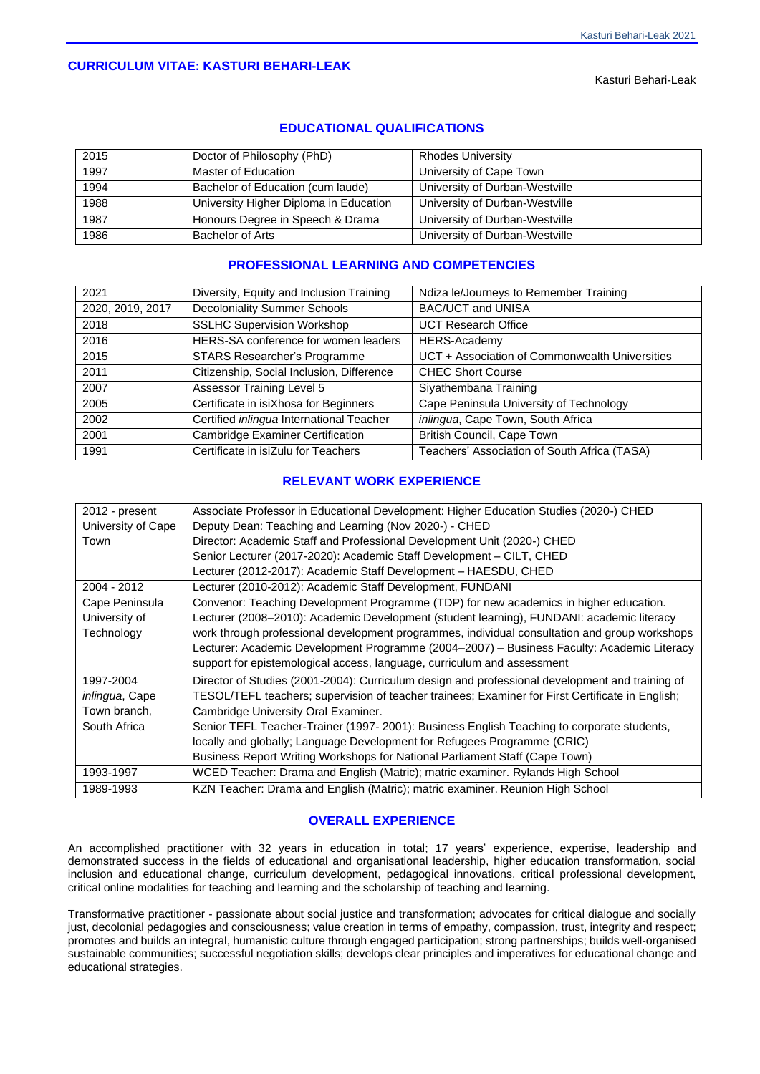## **CURRICULUM VITAE: KASTURI BEHARI-LEAK**

Kasturi Behari-Leak

| 2015 | Doctor of Philosophy (PhD)             | <b>Rhodes University</b>       |
|------|----------------------------------------|--------------------------------|
| 1997 | Master of Education                    | University of Cape Town        |
| 1994 | Bachelor of Education (cum laude)      | University of Durban-Westville |
| 1988 | University Higher Diploma in Education | University of Durban-Westville |
| 1987 | Honours Degree in Speech & Drama       | University of Durban-Westville |
| 1986 | Bachelor of Arts                       | University of Durban-Westville |

## **EDUCATIONAL QUALIFICATIONS**

# **PROFESSIONAL LEARNING AND COMPETENCIES**

| 2021             | Diversity, Equity and Inclusion Training  | Ndiza le/Journeys to Remember Training         |
|------------------|-------------------------------------------|------------------------------------------------|
| 2020, 2019, 2017 | <b>Decoloniality Summer Schools</b>       | <b>BAC/UCT and UNISA</b>                       |
| 2018             | <b>SSLHC Supervision Workshop</b>         | <b>UCT Research Office</b>                     |
| 2016             | HERS-SA conference for women leaders      | HERS-Academy                                   |
| 2015             | STARS Researcher's Programme              | UCT + Association of Commonwealth Universities |
| 2011             | Citizenship, Social Inclusion, Difference | <b>CHEC Short Course</b>                       |
| 2007             | <b>Assessor Training Level 5</b>          | Siyathembana Training                          |
| 2005             | Certificate in isiXhosa for Beginners     | Cape Peninsula University of Technology        |
| 2002             | Certified inlingua International Teacher  | inlingua, Cape Town, South Africa              |
| 2001             | <b>Cambridge Examiner Certification</b>   | British Council, Cape Town                     |
| 1991             | Certificate in isiZulu for Teachers       | Teachers' Association of South Africa (TASA)   |

## **RELEVANT WORK EXPERIENCE**

| 2012 - present     | Associate Professor in Educational Development: Higher Education Studies (2020-) CHED            |  |
|--------------------|--------------------------------------------------------------------------------------------------|--|
| University of Cape | Deputy Dean: Teaching and Learning (Nov 2020-) - CHED                                            |  |
| Town               | Director: Academic Staff and Professional Development Unit (2020-) CHED                          |  |
|                    | Senior Lecturer (2017-2020): Academic Staff Development - CILT, CHED                             |  |
|                    | Lecturer (2012-2017): Academic Staff Development - HAESDU, CHED                                  |  |
| 2004 - 2012        | Lecturer (2010-2012): Academic Staff Development, FUNDANI                                        |  |
| Cape Peninsula     | Convenor: Teaching Development Programme (TDP) for new academics in higher education.            |  |
| University of      | Lecturer (2008–2010): Academic Development (student learning), FUNDANI: academic literacy        |  |
| Technology         | work through professional development programmes, individual consultation and group workshops    |  |
|                    | Lecturer: Academic Development Programme (2004–2007) – Business Faculty: Academic Literacy       |  |
|                    | support for epistemological access, language, curriculum and assessment                          |  |
| 1997-2004          | Director of Studies (2001-2004): Curriculum design and professional development and training of  |  |
| inlingua, Cape     | TESOL/TEFL teachers; supervision of teacher trainees; Examiner for First Certificate in English; |  |
| Town branch,       | Cambridge University Oral Examiner.                                                              |  |
| South Africa       | Senior TEFL Teacher-Trainer (1997-2001): Business English Teaching to corporate students,        |  |
|                    | locally and globally; Language Development for Refugees Programme (CRIC)                         |  |
|                    | Business Report Writing Workshops for National Parliament Staff (Cape Town)                      |  |
| 1993-1997          | WCED Teacher: Drama and English (Matric); matric examiner. Rylands High School                   |  |
| 1989-1993          | KZN Teacher: Drama and English (Matric); matric examiner. Reunion High School                    |  |

### **OVERALL EXPERIENCE**

An accomplished practitioner with 32 years in education in total; 17 years' experience, expertise, leadership and demonstrated success in the fields of educational and organisational leadership, higher education transformation, social inclusion and educational change, curriculum development, pedagogical innovations, critical professional development, critical online modalities for teaching and learning and the scholarship of teaching and learning.

Transformative practitioner - passionate about social justice and transformation; advocates for critical dialogue and socially just, decolonial pedagogies and consciousness; value creation in terms of empathy, compassion, trust, integrity and respect; promotes and builds an integral, humanistic culture through engaged participation; strong partnerships; builds well-organised sustainable communities; successful negotiation skills; develops clear principles and imperatives for educational change and educational strategies.